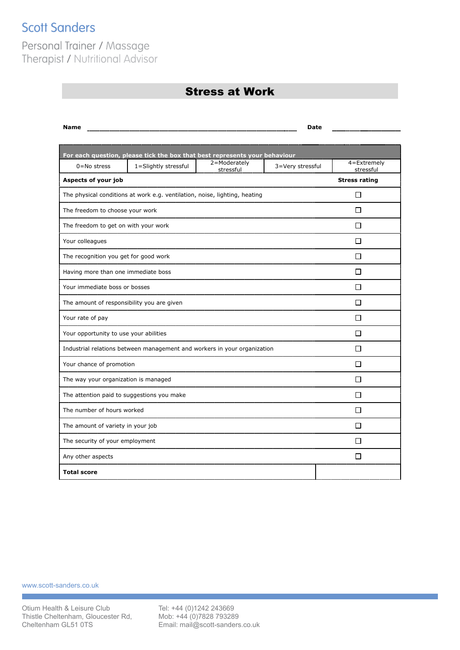## **Scott Sanders**

Personal Trainer / Massage Therapist / Nutritional Advisor

## Stress at Work

| <b>Name</b>                                                                |                                                                            |                           | Date             |                          |
|----------------------------------------------------------------------------|----------------------------------------------------------------------------|---------------------------|------------------|--------------------------|
|                                                                            |                                                                            |                           |                  |                          |
|                                                                            | For each question, please tick the box that best represents your behaviour |                           |                  |                          |
| $0 = No$ stress                                                            | 1=Slightly stressful                                                       | 2=Moderately<br>stressful | 3=Very stressful | 4=Extremely<br>stressful |
| Aspects of your job                                                        |                                                                            |                           |                  | <b>Stress rating</b>     |
| The physical conditions at work e.g. ventilation, noise, lighting, heating |                                                                            |                           |                  | П                        |
| The freedom to choose your work                                            |                                                                            |                           |                  | П                        |
| The freedom to get on with your work                                       |                                                                            |                           |                  | П                        |
| Your colleagues                                                            |                                                                            |                           |                  | П                        |
| The recognition you get for good work                                      |                                                                            |                           |                  | l 1                      |
| Having more than one immediate boss                                        |                                                                            |                           |                  | П                        |
| Your immediate boss or bosses                                              |                                                                            |                           | П                |                          |
| The amount of responsibility you are given                                 |                                                                            |                           |                  | П                        |
| Your rate of pay                                                           |                                                                            |                           |                  | П                        |
| Your opportunity to use your abilities                                     |                                                                            |                           |                  | П                        |
| Industrial relations between management and workers in your organization   |                                                                            |                           | П                |                          |
| Your chance of promotion                                                   |                                                                            |                           | П                |                          |
| The way your organization is managed                                       |                                                                            |                           | $\mathsf{L}$     |                          |
| The attention paid to suggestions you make                                 |                                                                            |                           | П                |                          |
| The number of hours worked                                                 |                                                                            |                           | П                |                          |
| The amount of variety in your job                                          |                                                                            |                           | П                |                          |
| The security of your employment                                            |                                                                            |                           |                  | П                        |
| Any other aspects                                                          |                                                                            |                           |                  | П                        |
| <b>Total score</b>                                                         |                                                                            |                           |                  |                          |
|                                                                            |                                                                            |                           |                  |                          |

www.scott-sanders.co.uk

T

Tel: +44 (0)1242 243669 Mob: +44 (0)7828 793289 Email: mail@scott-sanders.co.uk